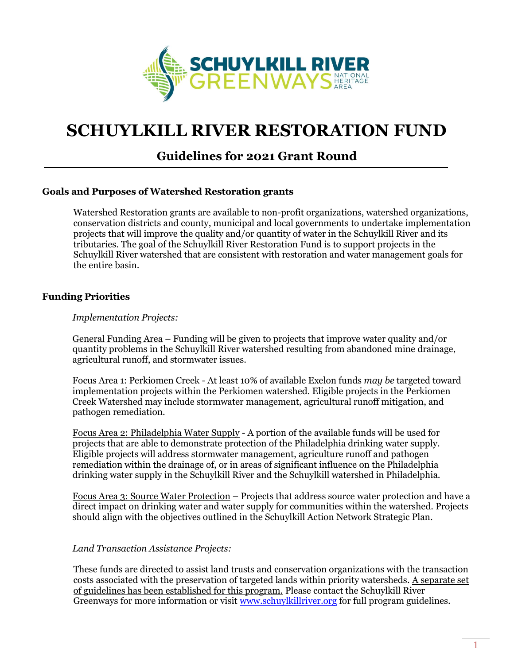

# **SCHUYLKILL RIVER RESTORATION FUND**

# **Guidelines for 2021 Grant Round**

# **Goals and Purposes of Watershed Restoration grants**

Watershed Restoration grants are available to non-profit organizations, watershed organizations, conservation districts and county, municipal and local governments to undertake implementation projects that will improve the quality and/or quantity of water in the Schuylkill River and its tributaries. The goal of the Schuylkill River Restoration Fund is to support projects in the Schuylkill River watershed that are consistent with restoration and water management goals for the entire basin.

#### **Funding Priorities**

#### *Implementation Projects:*

General Funding Area – Funding will be given to projects that improve water quality and/or quantity problems in the Schuylkill River watershed resulting from abandoned mine drainage, agricultural runoff, and stormwater issues.

Focus Area 1: Perkiomen Creek - At least 10% of available Exelon funds *may be* targeted toward implementation projects within the Perkiomen watershed. Eligible projects in the Perkiomen Creek Watershed may include stormwater management, agricultural runoff mitigation, and pathogen remediation.

Focus Area 2: Philadelphia Water Supply - A portion of the available funds will be used for projects that are able to demonstrate protection of the Philadelphia drinking water supply. Eligible projects will address stormwater management, agriculture runoff and pathogen remediation within the drainage of, or in areas of significant influence on the Philadelphia drinking water supply in the Schuylkill River and the Schuylkill watershed in Philadelphia.

Focus Area 3: Source Water Protection – Projects that address source water protection and have a direct impact on drinking water and water supply for communities within the watershed. Projects should align with the objectives outlined in the Schuylkill Action Network Strategic Plan.

#### *Land Transaction Assistance Projects:*

These funds are directed to assist land trusts and conservation organizations with the transaction costs associated with the preservation of targeted lands within priority watersheds. A separate set of guidelines has been established for this program. Please contact the Schuylkill River Greenways for more information or visit [www.schuylkillriver.org](http://www.schuylkillriver.org/) for full program guidelines.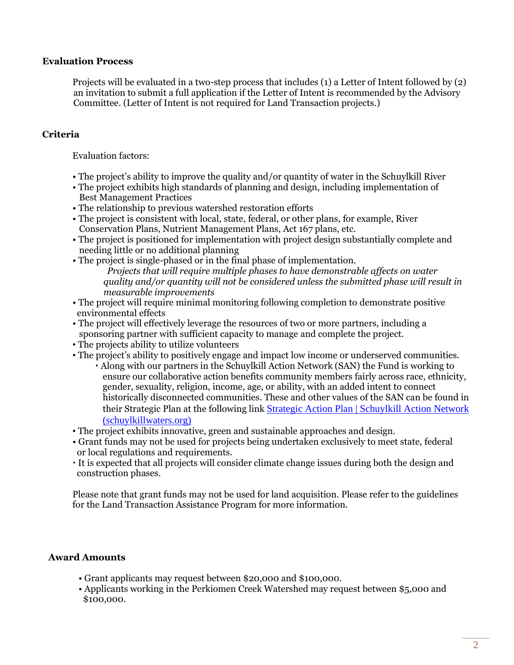#### **Evaluation Process**

Projects will be evaluated in a two-step process that includes (1) a Letter of Intent followed by (2) an invitation to submit a full application if the Letter of Intent is recommended by the Advisory Committee. (Letter of Intent is not required for Land Transaction projects.)

# **Criteria**

Evaluation factors:

- The project's ability to improve the quality and/or quantity of water in the Schuylkill River
- The project exhibits high standards of planning and design, including implementation of Best Management Practices
- The relationship to previous watershed restoration efforts
- The project is consistent with local, state, federal, or other plans, for example, River Conservation Plans, Nutrient Management Plans, Act 167 plans, etc.
- The project is positioned for implementation with project design substantially complete and needing little or no additional planning
- The project is single-phased or in the final phase of implementation. *Projects that will require multiple phases to have demonstrable affects on water quality and/or quantity will not be considered unless the submitted phase will result in measurable improvements*
- The project will require minimal monitoring following completion to demonstrate positive environmental effects
- The project will effectively leverage the resources of two or more partners, including a sponsoring partner with sufficient capacity to manage and complete the project.
- The projects ability to utilize volunteers
- The project's ability to positively engage and impact low income or underserved communities. Along with our partners in the Schuylkill Action Network (SAN) the Fund is working to ensure our collaborative action benefits community members fairly across race, ethnicity, gender, sexuality, religion, income, age, or ability, with an added intent to connect historically disconnected communities. These and other values of the SAN can be found in their Strategic Plan at the following link [Strategic Action Plan | Schuylkill Action Network](https://schuylkillwaters.org/about-us/strategic-plan)  [\(schuylkillwaters.org\)](https://schuylkillwaters.org/about-us/strategic-plan)
- The project exhibits innovative, green and sustainable approaches and design.
- Grant funds may not be used for projects being undertaken exclusively to meet state, federal or local regulations and requirements.
- It is expected that all projects will consider climate change issues during both the design and construction phases.

Please note that grant funds may not be used for land acquisition. Please refer to the guidelines for the Land Transaction Assistance Program for more information.

# **Award Amounts**

- Grant applicants may request between \$20,000 and \$100,000.
- Applicants working in the Perkiomen Creek Watershed may request between \$5,000 and \$100,000.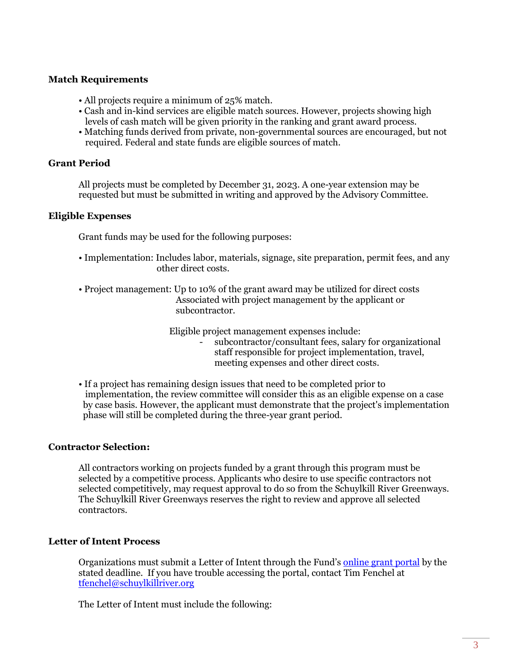#### **Match Requirements**

- All projects require a minimum of 25% match.
- Cash and in-kind services are eligible match sources. However, projects showing high levels of cash match will be given priority in the ranking and grant award process.
- Matching funds derived from private, non-governmental sources are encouraged, but not required. Federal and state funds are eligible sources of match.

#### **Grant Period**

All projects must be completed by December 31, 2023. A one-year extension may be requested but must be submitted in writing and approved by the Advisory Committee.

#### **Eligible Expenses**

Grant funds may be used for the following purposes:

- Implementation: Includes labor, materials, signage, site preparation, permit fees, and any other direct costs.
- Project management: Up to 10% of the grant award may be utilized for direct costs Associated with project management by the applicant or subcontractor.

Eligible project management expenses include:

- subcontractor/consultant fees, salary for organizational staff responsible for project implementation, travel, meeting expenses and other direct costs.

• If a project has remaining design issues that need to be completed prior to implementation, the review committee will consider this as an eligible expense on a case by case basis. However, the applicant must demonstrate that the project's implementation phase will still be completed during the three-year grant period.

# **Contractor Selection:**

All contractors working on projects funded by a grant through this program must be selected by a competitive process. Applicants who desire to use specific contractors not selected competitively, may request approval to do so from the Schuylkill River Greenways. The Schuylkill River Greenways reserves the right to review and approve all selected contractors.

# **Letter of Intent Process**

Organizations must submit a Letter of Intent through the Fund's [online grant portal](https://grants.schuylkillriver.org/#contractor-selection) by the stated deadline. If you have trouble accessing the portal, contact Tim Fenchel at [tfenchel@schuylkillriver.org](mailto:tfenchel@schuylkillriver.org)

The Letter of Intent must include the following: